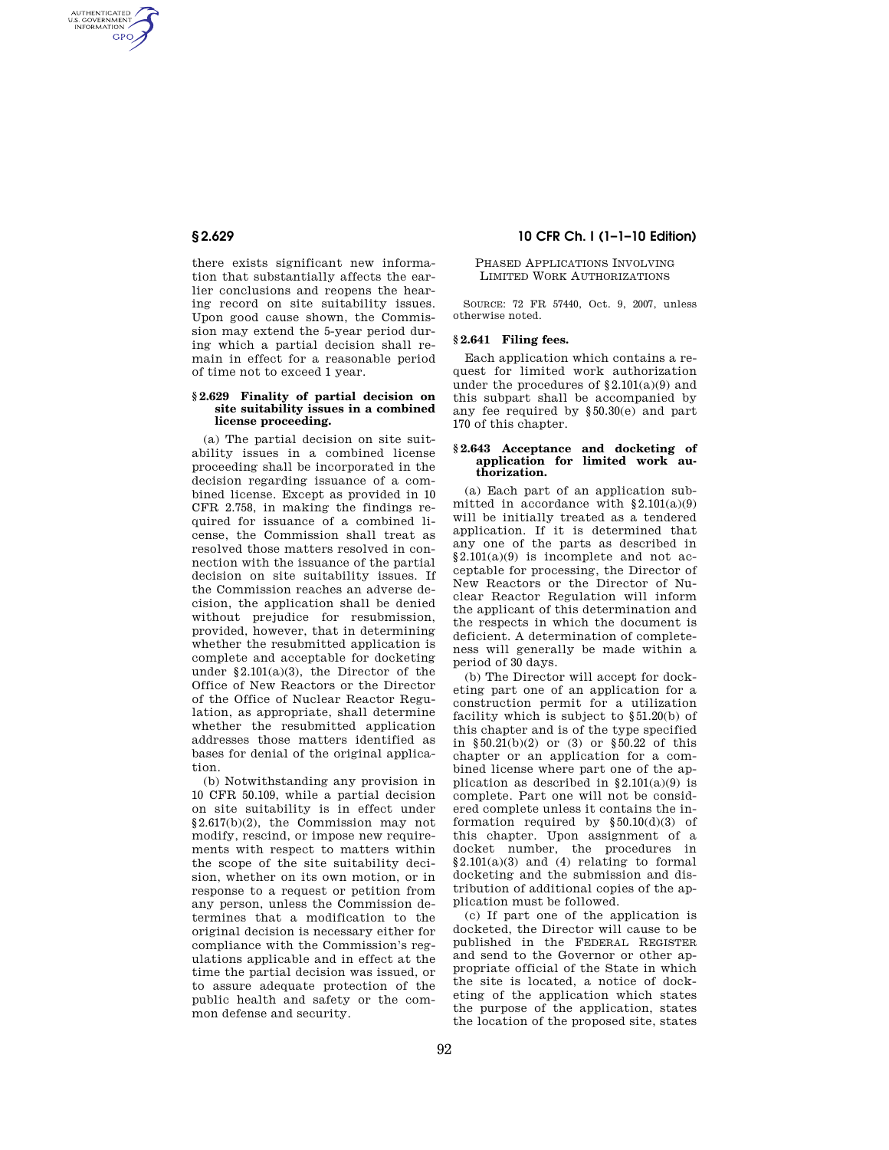AUTHENTICATED<br>U.S. GOVERNMENT<br>INFORMATION **GPO** 

> there exists significant new information that substantially affects the earlier conclusions and reopens the hearing record on site suitability issues. Upon good cause shown, the Commission may extend the 5-year period during which a partial decision shall remain in effect for a reasonable period of time not to exceed 1 year.

### **§ 2.629 Finality of partial decision on site suitability issues in a combined license proceeding.**

(a) The partial decision on site suitability issues in a combined license proceeding shall be incorporated in the decision regarding issuance of a combined license. Except as provided in 10 CFR 2.758, in making the findings required for issuance of a combined license, the Commission shall treat as resolved those matters resolved in connection with the issuance of the partial decision on site suitability issues. If the Commission reaches an adverse decision, the application shall be denied without prejudice for resubmission, provided, however, that in determining whether the resubmitted application is complete and acceptable for docketing under  $\S 2.101(a)(3)$ , the Director of the Office of New Reactors or the Director of the Office of Nuclear Reactor Regulation, as appropriate, shall determine whether the resubmitted application addresses those matters identified as bases for denial of the original application.

(b) Notwithstanding any provision in 10 CFR 50.109, while a partial decision on site suitability is in effect under §2.617(b)(2), the Commission may not modify, rescind, or impose new requirements with respect to matters within the scope of the site suitability decision, whether on its own motion, or in response to a request or petition from any person, unless the Commission determines that a modification to the original decision is necessary either for compliance with the Commission's regulations applicable and in effect at the time the partial decision was issued, or to assure adequate protection of the public health and safety or the common defense and security.

# **§ 2.629 10 CFR Ch. I (1–1–10 Edition)**

## PHASED APPLICATIONS INVOLVING LIMITED WORK AUTHORIZATIONS

SOURCE: 72 FR 57440, Oct. 9, 2007, unless otherwise noted.

# **§ 2.641 Filing fees.**

Each application which contains a request for limited work authorization under the procedures of  $\S 2.101(a)(9)$  and this subpart shall be accompanied by any fee required by §50.30(e) and part 170 of this chapter.

#### **§ 2.643 Acceptance and docketing of application for limited work authorization.**

(a) Each part of an application submitted in accordance with  $\S 2.101(a)(9)$ will be initially treated as a tendered application. If it is determined that any one of the parts as described in §2.101(a)(9) is incomplete and not acceptable for processing, the Director of New Reactors or the Director of Nuclear Reactor Regulation will inform the applicant of this determination and the respects in which the document is deficient. A determination of completeness will generally be made within a period of 30 days.

(b) The Director will accept for docketing part one of an application for a construction permit for a utilization facility which is subject to §51.20(b) of this chapter and is of the type specified in §50.21(b)(2) or (3) or §50.22 of this chapter or an application for a combined license where part one of the application as described in  $§2.101(a)(9)$  is complete. Part one will not be considered complete unless it contains the information required by  $\S 50.10(d)(3)$  of this chapter. Upon assignment of a docket number, the procedures in  $§2.101(a)(3)$  and (4) relating to formal docketing and the submission and distribution of additional copies of the application must be followed.

(c) If part one of the application is docketed, the Director will cause to be published in the FEDERAL REGISTER and send to the Governor or other appropriate official of the State in which the site is located, a notice of docketing of the application which states the purpose of the application, states the location of the proposed site, states